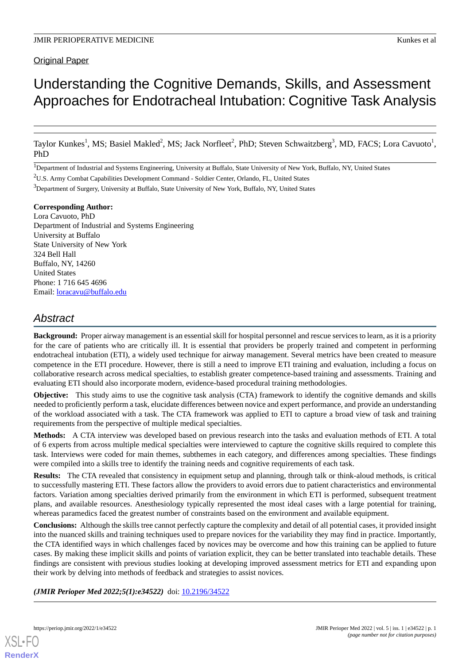# Understanding the Cognitive Demands, Skills, and Assessment Approaches for Endotracheal Intubation: Cognitive Task Analysis

Taylor Kunkes<sup>1</sup>, MS; Basiel Makled<sup>2</sup>, MS; Jack Norfleet<sup>2</sup>, PhD; Steven Schwaitzberg<sup>3</sup>, MD, FACS; Lora Cavuoto<sup>1</sup>, PhD

1Department of Industrial and Systems Engineering, University at Buffalo, State University of New York, Buffalo, NY, United States

<sup>2</sup>U.S. Army Combat Capabilities Development Command - Soldier Center, Orlando, FL, United States

<sup>3</sup>Department of Surgery, University at Buffalo, State University of New York, Buffalo, NY, United States

### **Corresponding Author:**

Lora Cavuoto, PhD Department of Industrial and Systems Engineering University at Buffalo State University of New York 324 Bell Hall Buffalo, NY, 14260 United States Phone: 1 716 645 4696 Email: [loracavu@buffalo.edu](mailto:loracavu@buffalo.edu)

# *Abstract*

**Background:** Proper airway management is an essential skill for hospital personnel and rescue services to learn, as it is a priority for the care of patients who are critically ill. It is essential that providers be properly trained and competent in performing endotracheal intubation (ETI), a widely used technique for airway management. Several metrics have been created to measure competence in the ETI procedure. However, there is still a need to improve ETI training and evaluation, including a focus on collaborative research across medical specialties, to establish greater competence-based training and assessments. Training and evaluating ETI should also incorporate modern, evidence-based procedural training methodologies.

**Objective:** This study aims to use the cognitive task analysis (CTA) framework to identify the cognitive demands and skills needed to proficiently perform a task, elucidate differences between novice and expert performance, and provide an understanding of the workload associated with a task. The CTA framework was applied to ETI to capture a broad view of task and training requirements from the perspective of multiple medical specialties.

**Methods:** A CTA interview was developed based on previous research into the tasks and evaluation methods of ETI. A total of 6 experts from across multiple medical specialties were interviewed to capture the cognitive skills required to complete this task. Interviews were coded for main themes, subthemes in each category, and differences among specialties. These findings were compiled into a skills tree to identify the training needs and cognitive requirements of each task.

**Results:** The CTA revealed that consistency in equipment setup and planning, through talk or think-aloud methods, is critical to successfully mastering ETI. These factors allow the providers to avoid errors due to patient characteristics and environmental factors. Variation among specialties derived primarily from the environment in which ETI is performed, subsequent treatment plans, and available resources. Anesthesiology typically represented the most ideal cases with a large potential for training, whereas paramedics faced the greatest number of constraints based on the environment and available equipment.

**Conclusions:** Although the skills tree cannot perfectly capture the complexity and detail of all potential cases, it provided insight into the nuanced skills and training techniques used to prepare novices for the variability they may find in practice. Importantly, the CTA identified ways in which challenges faced by novices may be overcome and how this training can be applied to future cases. By making these implicit skills and points of variation explicit, they can be better translated into teachable details. These findings are consistent with previous studies looking at developing improved assessment metrics for ETI and expanding upon their work by delving into methods of feedback and strategies to assist novices.

### (JMIR Perioper Med 2022;5(1):e34522) doi: [10.2196/34522](http://dx.doi.org/10.2196/34522)

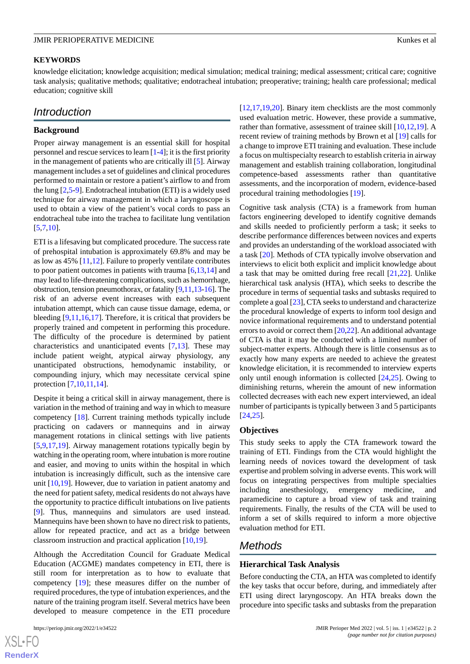### **KEYWORDS**

knowledge elicitation; knowledge acquisition; medical simulation; medical training; medical assessment; critical care; cognitive task analysis; qualitative methods; qualitative; endotracheal intubation; preoperative; training; health care professional; medical education; cognitive skill

# *Introduction*

### **Background**

Proper airway management is an essential skill for hospital personnel and rescue services to learn [[1-](#page-9-0)[4\]](#page-9-1); it is the first priority in the management of patients who are critically ill [[5\]](#page-9-2). Airway management includes a set of guidelines and clinical procedures performed to maintain or restore a patient's airflow to and from the lung [[2,](#page-9-3)[5](#page-9-2)[-9](#page-10-0)]. Endotracheal intubation (ETI) is a widely used technique for airway management in which a laryngoscope is used to obtain a view of the patient's vocal cords to pass an endotracheal tube into the trachea to facilitate lung ventilation  $[5,7,10]$  $[5,7,10]$  $[5,7,10]$  $[5,7,10]$  $[5,7,10]$ .

ETI is a lifesaving but complicated procedure. The success rate of prehospital intubation is approximately 69.8% and may be as low as 45% [\[11](#page-10-3),[12\]](#page-10-4). Failure to properly ventilate contributes to poor patient outcomes in patients with trauma [\[6](#page-10-5),[13](#page-10-6)[,14](#page-10-7)] and may lead to life-threatening complications, such as hemorrhage, obstruction, tension pneumothorax, or fatality [[9](#page-10-0)[,11](#page-10-3),[13-](#page-10-6)[16\]](#page-10-8). The risk of an adverse event increases with each subsequent intubation attempt, which can cause tissue damage, edema, or bleeding [[9,](#page-10-0)[11](#page-10-3),[16,](#page-10-8)[17](#page-10-9)]. Therefore, it is critical that providers be properly trained and competent in performing this procedure. The difficulty of the procedure is determined by patient characteristics and unanticipated events [[7](#page-10-1)[,13](#page-10-6)]. These may include patient weight, atypical airway physiology, any unanticipated obstructions, hemodynamic instability, or compounding injury, which may necessitate cervical spine protection [[7](#page-10-1)[,10](#page-10-2),[11](#page-10-3)[,14](#page-10-7)].

Despite it being a critical skill in airway management, there is variation in the method of training and way in which to measure competency [[18\]](#page-10-10). Current training methods typically include practicing on cadavers or mannequins and in airway management rotations in clinical settings with live patients [[5](#page-9-2)[,9](#page-10-0),[17](#page-10-9)[,19](#page-10-11)]. Airway management rotations typically begin by watching in the operating room, where intubation is more routine and easier, and moving to units within the hospital in which intubation is increasingly difficult, such as the intensive care unit [[10](#page-10-2)[,19](#page-10-11)]. However, due to variation in patient anatomy and the need for patient safety, medical residents do not always have the opportunity to practice difficult intubations on live patients [[9\]](#page-10-0). Thus, mannequins and simulators are used instead. Mannequins have been shown to have no direct risk to patients, allow for repeated practice, and act as a bridge between classroom instruction and practical application [[10,](#page-10-2)[19\]](#page-10-11).

Although the Accreditation Council for Graduate Medical Education (ACGME) mandates competency in ETI, there is still room for interpretation as to how to evaluate that competency [\[19](#page-10-11)]; these measures differ on the number of required procedures, the type of intubation experiences, and the nature of the training program itself. Several metrics have been developed to measure competence in the ETI procedure

 $XS$ -FO **[RenderX](http://www.renderx.com/)** [[12,](#page-10-4)[17,](#page-10-9)[19](#page-10-11)[,20](#page-10-12)]. Binary item checklists are the most commonly used evaluation metric. However, these provide a summative, rather than formative, assessment of trainee skill [\[10](#page-10-2),[12](#page-10-4)[,19](#page-10-11)]. A recent review of training methods by Brown et al [[19\]](#page-10-11) calls for a change to improve ETI training and evaluation. These include a focus on multispecialty research to establish criteria in airway management and establish training collaboration, longitudinal competence-based assessments rather than quantitative assessments, and the incorporation of modern, evidence-based procedural training methodologies [\[19](#page-10-11)].

Cognitive task analysis (CTA) is a framework from human factors engineering developed to identify cognitive demands and skills needed to proficiently perform a task; it seeks to describe performance differences between novices and experts and provides an understanding of the workload associated with a task [\[20](#page-10-12)]. Methods of CTA typically involve observation and interviews to elicit both explicit and implicit knowledge about a task that may be omitted during free recall [[21](#page-10-13)[,22](#page-10-14)]. Unlike hierarchical task analysis (HTA), which seeks to describe the procedure in terms of sequential tasks and subtasks required to complete a goal [[23\]](#page-10-15), CTA seeks to understand and characterize the procedural knowledge of experts to inform tool design and novice informational requirements and to understand potential errors to avoid or correct them  $[20,22]$  $[20,22]$  $[20,22]$  $[20,22]$ . An additional advantage of CTA is that it may be conducted with a limited number of subject-matter experts. Although there is little consensus as to exactly how many experts are needed to achieve the greatest knowledge elicitation, it is recommended to interview experts only until enough information is collected [[24,](#page-10-16)[25](#page-10-17)]. Owing to diminishing returns, wherein the amount of new information collected decreases with each new expert interviewed, an ideal number of participants is typically between 3 and 5 participants [[24,](#page-10-16)[25\]](#page-10-17).

### **Objectives**

This study seeks to apply the CTA framework toward the training of ETI. Findings from the CTA would highlight the learning needs of novices toward the development of task expertise and problem solving in adverse events. This work will focus on integrating perspectives from multiple specialties including anesthesiology, emergency medicine, and paramedicine to capture a broad view of task and training requirements. Finally, the results of the CTA will be used to inform a set of skills required to inform a more objective evaluation method for ETI.

# *Methods*

### **Hierarchical Task Analysis**

Before conducting the CTA, an HTA was completed to identify the key tasks that occur before, during, and immediately after ETI using direct laryngoscopy. An HTA breaks down the procedure into specific tasks and subtasks from the preparation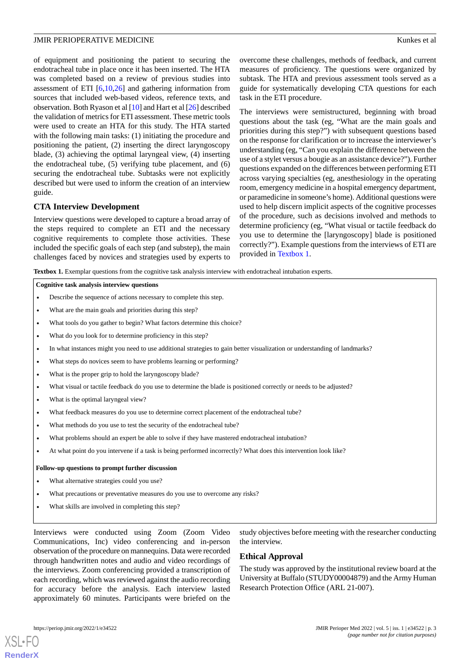of equipment and positioning the patient to securing the endotracheal tube in place once it has been inserted. The HTA was completed based on a review of previous studies into assessment of ETI [\[6](#page-10-5)[,10](#page-10-2)[,26](#page-10-18)] and gathering information from sources that included web-based videos, reference texts, and observation. Both Ryason et al [[10](#page-10-2)] and Hart et al [[26\]](#page-10-18) described the validation of metrics for ETI assessment. These metric tools were used to create an HTA for this study. The HTA started with the following main tasks: (1) initiating the procedure and positioning the patient, (2) inserting the direct laryngoscopy blade, (3) achieving the optimal laryngeal view, (4) inserting the endotracheal tube, (5) verifying tube placement, and (6) securing the endotracheal tube. Subtasks were not explicitly described but were used to inform the creation of an interview guide.

### **CTA Interview Development**

<span id="page-2-0"></span>Interview questions were developed to capture a broad array of the steps required to complete an ETI and the necessary cognitive requirements to complete those activities. These included the specific goals of each step (and substep), the main challenges faced by novices and strategies used by experts to

overcome these challenges, methods of feedback, and current measures of proficiency. The questions were organized by subtask. The HTA and previous assessment tools served as a guide for systematically developing CTA questions for each task in the ETI procedure.

The interviews were semistructured, beginning with broad questions about the task (eg, "What are the main goals and priorities during this step?") with subsequent questions based on the response for clarification or to increase the interviewer's understanding (eg, "Can you explain the difference between the use of a stylet versus a bougie as an assistance device?"). Further questions expanded on the differences between performing ETI across varying specialties (eg, anesthesiology in the operating room, emergency medicine in a hospital emergency department, or paramedicine in someone's home). Additional questions were used to help discern implicit aspects of the cognitive processes of the procedure, such as decisions involved and methods to determine proficiency (eg, "What visual or tactile feedback do you use to determine the [laryngoscopy] blade is positioned correctly?"). Example questions from the interviews of ETI are provided in [Textbox 1.](#page-2-0)

**Textbox 1.** Exemplar questions from the cognitive task analysis interview with endotracheal intubation experts.

### **Cognitive task analysis interview questions**

- Describe the sequence of actions necessary to complete this step.
- What are the main goals and priorities during this step?
- What tools do you gather to begin? What factors determine this choice?
- What do you look for to determine proficiency in this step?
- In what instances might you need to use additional strategies to gain better visualization or understanding of landmarks?
- What steps do novices seem to have problems learning or performing?
- What is the proper grip to hold the laryngoscopy blade?
- What visual or tactile feedback do you use to determine the blade is positioned correctly or needs to be adjusted?
- What is the optimal laryngeal view?
- What feedback measures do you use to determine correct placement of the endotracheal tube?
- What methods do you use to test the security of the endotracheal tube?
- What problems should an expert be able to solve if they have mastered endotracheal intubation?
- At what point do you intervene if a task is being performed incorrectly? What does this intervention look like?

### **Follow-up questions to prompt further discussion**

- What alternative strategies could you use?
- What precautions or preventative measures do you use to overcome any risks?
- What skills are involved in completing this step?

Interviews were conducted using Zoom (Zoom Video Communications, Inc) video conferencing and in-person observation of the procedure on mannequins. Data were recorded through handwritten notes and audio and video recordings of the interviews. Zoom conferencing provided a transcription of each recording, which was reviewed against the audio recording for accuracy before the analysis. Each interview lasted approximately 60 minutes. Participants were briefed on the

study objectives before meeting with the researcher conducting the interview.

### **Ethical Approval**

The study was approved by the institutional review board at the University at Buffalo (STUDY00004879) and the Army Human Research Protection Office (ARL 21-007).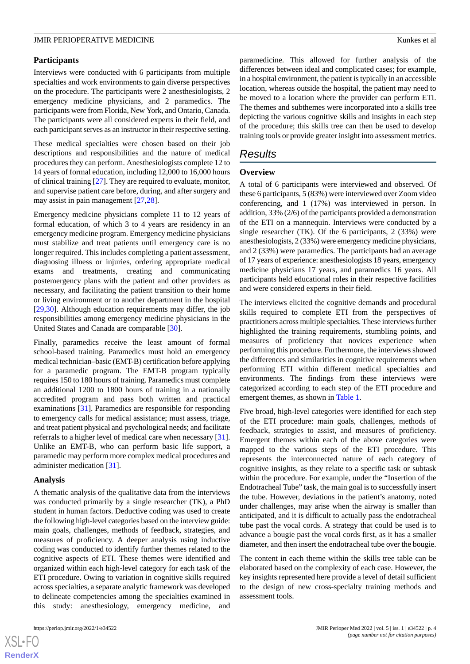### **Participants**

Interviews were conducted with 6 participants from multiple specialties and work environments to gain diverse perspectives on the procedure. The participants were 2 anesthesiologists, 2 emergency medicine physicians, and 2 paramedics. The participants were from Florida, New York, and Ontario, Canada. The participants were all considered experts in their field, and each participant serves as an instructor in their respective setting.

These medical specialties were chosen based on their job descriptions and responsibilities and the nature of medical procedures they can perform. Anesthesiologists complete 12 to 14 years of formal education, including 12,000 to 16,000 hours of clinical training [[27\]](#page-10-19). They are required to evaluate, monitor, and supervise patient care before, during, and after surgery and may assist in pain management [\[27](#page-10-19),[28\]](#page-11-0).

Emergency medicine physicians complete 11 to 12 years of formal education, of which 3 to 4 years are residency in an emergency medicine program. Emergency medicine physicians must stabilize and treat patients until emergency care is no longer required. This includes completing a patient assessment, diagnosing illness or injuries, ordering appropriate medical exams and treatments, creating and communicating postemergency plans with the patient and other providers as necessary, and facilitating the patient transition to their home or living environment or to another department in the hospital [[29](#page-11-1)[,30](#page-11-2)]. Although education requirements may differ, the job responsibilities among emergency medicine physicians in the United States and Canada are comparable [\[30](#page-11-2)].

Finally, paramedics receive the least amount of formal school-based training. Paramedics must hold an emergency medical technician–basic (EMT-B) certification before applying for a paramedic program. The EMT-B program typically requires 150 to 180 hours of training. Paramedics must complete an additional 1200 to 1800 hours of training in a nationally accredited program and pass both written and practical examinations [[31\]](#page-11-3). Paramedics are responsible for responding to emergency calls for medical assistance; must assess, triage, and treat patient physical and psychological needs; and facilitate referrals to a higher level of medical care when necessary [[31\]](#page-11-3). Unlike an EMT-B, who can perform basic life support, a paramedic may perform more complex medical procedures and administer medication [[31\]](#page-11-3).

### **Analysis**

A thematic analysis of the qualitative data from the interviews was conducted primarily by a single researcher (TK), a PhD student in human factors. Deductive coding was used to create the following high-level categories based on the interview guide: main goals, challenges, methods of feedback, strategies, and measures of proficiency. A deeper analysis using inductive coding was conducted to identify further themes related to the cognitive aspects of ETI. These themes were identified and organized within each high-level category for each task of the ETI procedure. Owing to variation in cognitive skills required across specialties, a separate analytic framework was developed to delineate competencies among the specialties examined in this study: anesthesiology, emergency medicine,

paramedicine. This allowed for further analysis of the differences between ideal and complicated cases; for example, in a hospital environment, the patient is typically in an accessible location, whereas outside the hospital, the patient may need to be moved to a location where the provider can perform ETI. The themes and subthemes were incorporated into a skills tree depicting the various cognitive skills and insights in each step of the procedure; this skills tree can then be used to develop training tools or provide greater insight into assessment metrics.

# *Results*

### **Overview**

A total of 6 participants were interviewed and observed. Of these 6 participants, 5 (83%) were interviewed over Zoom video conferencing, and 1 (17%) was interviewed in person. In addition, 33% (2/6) of the participants provided a demonstration of the ETI on a mannequin. Interviews were conducted by a single researcher (TK). Of the 6 participants, 2 (33%) were anesthesiologists, 2 (33%) were emergency medicine physicians, and 2 (33%) were paramedics. The participants had an average of 17 years of experience: anesthesiologists 18 years, emergency medicine physicians 17 years, and paramedics 16 years. All participants held educational roles in their respective facilities and were considered experts in their field.

The interviews elicited the cognitive demands and procedural skills required to complete ETI from the perspectives of practitioners across multiple specialties. These interviews further highlighted the training requirements, stumbling points, and measures of proficiency that novices experience when performing this procedure. Furthermore, the interviews showed the differences and similarities in cognitive requirements when performing ETI within different medical specialties and environments. The findings from these interviews were categorized according to each step of the ETI procedure and emergent themes, as shown in [Table 1](#page-4-0).

Five broad, high-level categories were identified for each step of the ETI procedure: main goals, challenges, methods of feedback, strategies to assist, and measures of proficiency. Emergent themes within each of the above categories were mapped to the various steps of the ETI procedure. This represents the interconnected nature of each category of cognitive insights, as they relate to a specific task or subtask within the procedure. For example, under the "Insertion of the Endotracheal Tube" task, the main goal is to successfully insert the tube. However, deviations in the patient's anatomy, noted under challenges, may arise when the airway is smaller than anticipated, and it is difficult to actually pass the endotracheal tube past the vocal cords. A strategy that could be used is to advance a bougie past the vocal cords first, as it has a smaller diameter, and then insert the endotracheal tube over the bougie.

The content in each theme within the skills tree table can be elaborated based on the complexity of each case. However, the key insights represented here provide a level of detail sufficient to the design of new cross-specialty training methods and assessment tools.

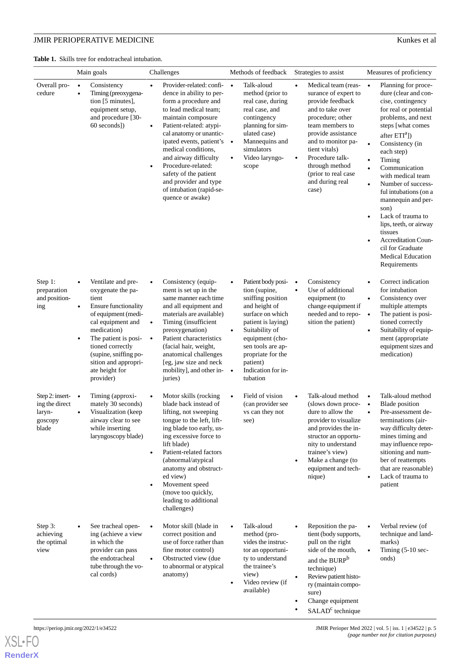# **JMIR PERIOPERATIVE MEDICINE** Kunkes et al.

<span id="page-4-0"></span>**Table 1.** Skills tree for endotracheal intubation.

|                                                                           | Main goals                                                                                                                                                                                                                                                                   | Challenges                                                                                                                                                                                                                                                                                                                                                                                                      | Methods of feedback                                                                                                                                                                                                                                                        | Strategies to assist                                                                                                                                                                                                                                                            | Measures of proficiency                                                                                                                                                                                                                                                                                                                                                                                                                                                                                           |
|---------------------------------------------------------------------------|------------------------------------------------------------------------------------------------------------------------------------------------------------------------------------------------------------------------------------------------------------------------------|-----------------------------------------------------------------------------------------------------------------------------------------------------------------------------------------------------------------------------------------------------------------------------------------------------------------------------------------------------------------------------------------------------------------|----------------------------------------------------------------------------------------------------------------------------------------------------------------------------------------------------------------------------------------------------------------------------|---------------------------------------------------------------------------------------------------------------------------------------------------------------------------------------------------------------------------------------------------------------------------------|-------------------------------------------------------------------------------------------------------------------------------------------------------------------------------------------------------------------------------------------------------------------------------------------------------------------------------------------------------------------------------------------------------------------------------------------------------------------------------------------------------------------|
| Overall pro-<br>cedure                                                    | Consistency<br>$\bullet$<br>Timing (preoxygena-<br>$\bullet$<br>tion [5 minutes],<br>equipment setup,<br>and procedure [30-<br>60 seconds])                                                                                                                                  | Provider-related: confi-<br>$\bullet$<br>dence in ability to per-<br>form a procedure and<br>to lead medical team;<br>maintain composure<br>Patient-related: atypi-<br>$\bullet$<br>cal anatomy or unantic-<br>ipated events, patient's<br>medical conditions,<br>and airway difficulty<br>Procedure-related:<br>safety of the patient<br>and provider and type<br>of intubation (rapid-se-<br>quence or awake) | Talk-aloud<br>$\bullet$<br>method (prior to<br>real case, during<br>real case, and<br>contingency<br>planning for sim-<br>ulated case)<br>Mannequins and<br>$\bullet$<br>simulators<br>Video laryngo-<br>scope                                                             | Medical team (reas-<br>surance of expert to<br>provide feedback<br>and to take over<br>procedure; other<br>team members to<br>provide assistance<br>and to monitor pa-<br>tient vitals)<br>Procedure talk-<br>through method<br>(prior to real case<br>and during real<br>case) | Planning for proce-<br>$\bullet$<br>dure (clear and con-<br>cise, contingency<br>for real or potential<br>problems, and next<br>steps [what comes<br>after ETI <sup>a</sup> ])<br>Consistency (in<br>each step)<br>Timing<br>Communication<br>with medical team<br>Number of success-<br>$\bullet$<br>ful intubations (on a<br>mannequin and per-<br>son)<br>Lack of trauma to<br>lips, teeth, or airway<br>tissues<br><b>Accreditation Coun-</b><br>cil for Graduate<br><b>Medical Education</b><br>Requirements |
| Step 1:<br>preparation<br>and position-<br>ing                            | Ventilate and pre-<br>oxygenate the pa-<br>tient<br>Ensure functionality<br>$\bullet$<br>of equipment (medi-<br>cal equipment and<br>medication)<br>The patient is posi-<br>tioned correctly<br>(supine, sniffing po-<br>sition and appropri-<br>ate height for<br>provider) | Consistency (equip-<br>$\bullet$<br>ment is set up in the<br>same manner each time<br>and all equipment and<br>materials are available)<br>Timing (insufficient<br>$\bullet$<br>preoxygenation)<br>Patient characteristics<br>$\bullet$<br>(facial hair, weight,<br>anatomical challenges<br>[eg, jaw size and neck<br>mobility], and other in- $\bullet$<br>juries)                                            | Patient body posi-<br>$\bullet$<br>tion (supine,<br>sniffing position<br>and height of<br>surface on which<br>patient is laying)<br>Suitability of<br>$\bullet$<br>equipment (cho-<br>sen tools are ap-<br>propriate for the<br>patient)<br>Indication for in-<br>tubation | Consistency<br>$\bullet$<br>Use of additional<br>$\bullet$<br>equipment (to<br>change equipment if<br>needed and to repo-<br>sition the patient)                                                                                                                                | Correct indication<br>for intubation<br>Consistency over<br>$\bullet$<br>multiple attempts<br>The patient is posi-<br>$\bullet$<br>tioned correctly<br>Suitability of equip-<br>$\bullet$<br>ment (appropriate<br>equipment sizes and<br>medication)                                                                                                                                                                                                                                                              |
| Step 2: insert- $\bullet$<br>ing the direct<br>laryn-<br>goscopy<br>blade | Timing (approxi-<br>mately 30 seconds)<br>Visualization (keep<br>airway clear to see<br>while inserting<br>laryngoscopy blade)                                                                                                                                               | Motor skills (rocking<br>$\bullet$<br>blade back instead of<br>lifting, not sweeping<br>tongue to the left, lift-<br>ing blade too early, us-<br>ing excessive force to<br>lift blade)<br>Patient-related factors<br>$\bullet$<br>(abnormal/atypical<br>anatomy and obstruct-<br>ed view)<br>Movement speed<br>(move too quickly,<br>leading to additional<br>challenges)                                       | Field of vision<br>(can provider see<br>vs can they not<br>see)                                                                                                                                                                                                            | Talk-aloud method<br>(slows down proce-<br>dure to allow the<br>provider to visualize<br>and provides the in-<br>structor an opportu-<br>nity to understand<br>trainee's view)<br>Make a change (to<br>equipment and tech-<br>nique)                                            | Talk-aloud method<br>$\bullet$<br><b>Blade</b> position<br>$\bullet$<br>Pre-assessment de-<br>$\bullet$<br>terminations (air-<br>way difficulty deter-<br>mines timing and<br>may influence repo-<br>sitioning and num-<br>ber of reattempts<br>that are reasonable)<br>Lack of trauma to<br>$\bullet$<br>patient                                                                                                                                                                                                 |
| Step 3:<br>achieving<br>the optimal<br>view                               | See tracheal open-<br>ing (achieve a view<br>in which the<br>provider can pass<br>the endotracheal<br>tube through the vo-<br>cal cords)                                                                                                                                     | Motor skill (blade in<br>$\bullet$<br>correct position and<br>use of force rather than<br>fine motor control)<br>Obstructed view (due)<br>$\bullet$<br>to abnormal or atypical<br>anatomy)                                                                                                                                                                                                                      | Talk-aloud<br>method (pro-<br>vides the instruc-<br>tor an opportuni-<br>ty to understand<br>the trainee's<br>view)<br>Video review (if<br>available)                                                                                                                      | Reposition the pa-<br>tient (body supports,<br>pull on the right<br>side of the mouth,<br>and the BURP <sup>b</sup><br>technique)<br>Review patient histo-<br>$\bullet$<br>ry (maintain compo-<br>sure)<br>Change equipment<br>$SALADc$ technique                               | Verbal review (of<br>$\bullet$<br>technique and land-<br>marks)<br>Timing $(5-10 \text{ sec}$<br>onds)                                                                                                                                                                                                                                                                                                                                                                                                            |

[XSL](http://www.w3.org/Style/XSL)•FO

**[RenderX](http://www.renderx.com/)**

https://periop.jmir.org/2022/1/e34522 p. 5 | iss. 1 | e34522 | p. 5 *(page number not for citation purposes)*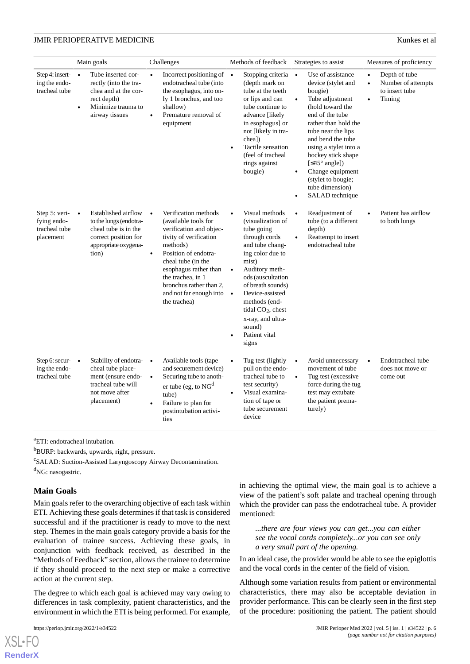|                                                            | Main goals                                                                                                                                           | Challenges                                                                                                                                                                                                                                                                                                  | Methods of feedback                                                                                                                                                                                                                                                                                                          | Strategies to assist                                                                                                                                                                                                                                                                                                                                             | Measures of proficiency                                                                                |
|------------------------------------------------------------|------------------------------------------------------------------------------------------------------------------------------------------------------|-------------------------------------------------------------------------------------------------------------------------------------------------------------------------------------------------------------------------------------------------------------------------------------------------------------|------------------------------------------------------------------------------------------------------------------------------------------------------------------------------------------------------------------------------------------------------------------------------------------------------------------------------|------------------------------------------------------------------------------------------------------------------------------------------------------------------------------------------------------------------------------------------------------------------------------------------------------------------------------------------------------------------|--------------------------------------------------------------------------------------------------------|
| Step 4: insert-<br>ing the endo-<br>tracheal tube          | Tube inserted cor-<br>$\bullet$<br>rectly (into the tra-<br>chea and at the cor-<br>rect depth)<br>Minimize trauma to<br>$\bullet$<br>airway tissues | Incorrect positioning of $\bullet$<br>$\bullet$<br>endotracheal tube (into<br>the esophagus, into on-<br>ly 1 bronchus, and too<br>shallow)<br>Premature removal of<br>equipment                                                                                                                            | Stopping criteria •<br>(depth mark on<br>tube at the teeth<br>or lips and can<br>tube continue to<br>advance [likely<br>in esophagus] or<br>not [likely in tra-<br>chea])<br>Tactile sensation<br>(feel of tracheal)<br>rings against<br>bougie)                                                                             | Use of assistance<br>device (stylet and<br>bougie)<br>Tube adjustment<br>$\bullet$<br>(hold toward the<br>end of the tube<br>rather than hold the<br>tube near the lips<br>and bend the tube<br>using a stylet into a<br>hockey stick shape<br>[ $\leq$ 45° angle])<br>Change equipment<br>$\bullet$<br>(stylet to bougie;<br>tube dimension)<br>SALAD technique | Depth of tube<br>$\bullet$<br>Number of attempts<br>$\bullet$<br>to insert tube<br>Timing<br>$\bullet$ |
| Step 5: veri-<br>fying endo-<br>tracheal tube<br>placement | Established airflow<br>$\bullet$<br>to the lungs (endotra-<br>cheal tube is in the<br>correct position for<br>appropriate oxygena-<br>tion)          | Verification methods<br>$\bullet$<br>(available tools for<br>verification and objec-<br>tivity of verification<br>methods)<br>Position of endotra-<br>$\bullet$<br>cheal tube (in the<br>esophagus rather than<br>the trachea, in 1<br>bronchus rather than 2,<br>and not far enough into •<br>the trachea) | Visual methods<br>$\bullet$<br>(visualization of<br>tube going<br>through cords<br>and tube chang-<br>ing color due to<br>mist)<br>Auditory meth-<br>$\bullet$<br>ods (auscultation<br>of breath sounds)<br>Device-assisted<br>methods (end-<br>tidal $CO2$ , chest<br>x-ray, and ultra-<br>sound)<br>Patient vital<br>signs | Readjustment of<br>$\bullet$<br>tube (to a different<br>depth)<br>Reattempt to insert<br>$\bullet$<br>endotracheal tube                                                                                                                                                                                                                                          | Patient has airflow<br>$\bullet$<br>to both lungs                                                      |
| Step 6: secur- $\bullet$<br>ing the endo-<br>tracheal tube | Stability of endotra- •<br>cheal tube place-<br>ment (ensure endo-<br>tracheal tube will<br>not move after<br>placement)                             | Available tools (tape<br>and securement device)<br>Securing tube to anoth-<br>$\bullet$<br>er tube (eg, to $NGd$<br>tube)<br>Failure to plan for<br>postintubation activi-<br>ties                                                                                                                          | Tug test (lightly<br>$\bullet$<br>pull on the endo-<br>tracheal tube to<br>test security)<br>Visual examina-<br>$\bullet$<br>tion of tape or<br>tube securement<br>device                                                                                                                                                    | Avoid unnecessary<br>$\bullet$<br>movement of tube<br>Tug test (excessive<br>$\bullet$<br>force during the tug<br>test may extubate<br>the patient prema-<br>turely)                                                                                                                                                                                             | Endotracheal tube<br>$\bullet$<br>does not move or<br>come out                                         |

<sup>a</sup>ETI: endotracheal intubation.

<sup>b</sup>BURP: backwards, upwards, right, pressure.

c SALAD: Suction-Assisted Laryngoscopy Airway Decontamination. <sup>d</sup>NG: nasogastric.

### **Main Goals**

Main goals refer to the overarching objective of each task within ETI. Achieving these goals determines if that task is considered successful and if the practitioner is ready to move to the next step. Themes in the main goals category provide a basis for the evaluation of trainee success. Achieving these goals, in conjunction with feedback received, as described in the "Methods of Feedback" section, allows the trainee to determine if they should proceed to the next step or make a corrective action at the current step.

The degree to which each goal is achieved may vary owing to differences in task complexity, patient characteristics, and the environment in which the ETI is being performed. For example,

 $XS$  • FO **[RenderX](http://www.renderx.com/)** in achieving the optimal view, the main goal is to achieve a view of the patient's soft palate and tracheal opening through which the provider can pass the endotracheal tube. A provider mentioned:

*...there are four views you can get...you can either see the vocal cords completely...or you can see only a very small part of the opening.*

In an ideal case, the provider would be able to see the epiglottis and the vocal cords in the center of the field of vision.

Although some variation results from patient or environmental characteristics, there may also be acceptable deviation in provider performance. This can be clearly seen in the first step of the procedure: positioning the patient. The patient should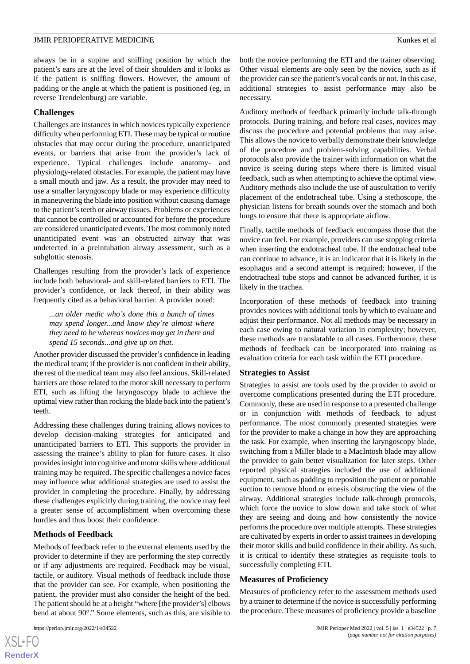always be in a supine and sniffing position by which the patient's ears are at the level of their shoulders and it looks as if the patient is sniffing flowers. However, the amount of padding or the angle at which the patient is positioned (eg, in reverse Trendelenburg) are variable.

### **Challenges**

Challenges are instances in which novices typically experience difficulty when performing ETI. These may be typical or routine obstacles that may occur during the procedure, unanticipated events, or barriers that arise from the provider's lack of experience. Typical challenges include anatomy- and physiology-related obstacles. For example, the patient may have a small mouth and jaw. As a result, the provider may need to use a smaller laryngoscopy blade or may experience difficulty in maneuvering the blade into position without causing damage to the patient's teeth or airway tissues. Problems or experiences that cannot be controlled or accounted for before the procedure are considered unanticipated events. The most commonly noted unanticipated event was an obstructed airway that was undetected in a preintubation airway assessment, such as a subglottic stenosis.

Challenges resulting from the provider's lack of experience include both behavioral- and skill-related barriers to ETI. The provider's confidence, or lack thereof, in their ability was frequently cited as a behavioral barrier. A provider noted:

*...an older medic who's done this a bunch of times may spend longer...and know they're almost where they need to be whereas novices may get in there and spend 15 seconds...and give up on that.*

Another provider discussed the provider's confidence in leading the medical team; if the provider is not confident in their ability, the rest of the medical team may also feel anxious. Skill-related barriers are those related to the motor skill necessary to perform ETI, such as lifting the laryngoscopy blade to achieve the optimal view rather than rocking the blade back into the patient's teeth.

Addressing these challenges during training allows novices to develop decision-making strategies for anticipated and unanticipated barriers to ETI. This supports the provider in assessing the trainee's ability to plan for future cases. It also provides insight into cognitive and motor skills where additional training may be required. The specific challenges a novice faces may influence what additional strategies are used to assist the provider in completing the procedure. Finally, by addressing these challenges explicitly during training, the novice may feel a greater sense of accomplishment when overcoming these hurdles and thus boost their confidence.

### **Methods of Feedback**

Methods of feedback refer to the external elements used by the provider to determine if they are performing the step correctly or if any adjustments are required. Feedback may be visual, tactile, or auditory. Visual methods of feedback include those that the provider can see. For example, when positioning the patient, the provider must also consider the height of the bed. The patient should be at a height "where [the provider's] elbows bend at about 90°." Some elements, such as this, are visible to

both the novice performing the ETI and the trainer observing. Other visual elements are only seen by the novice, such as if the provider can see the patient's vocal cords or not. In this case, additional strategies to assist performance may also be necessary.

Auditory methods of feedback primarily include talk-through protocols. During training, and before real cases, novices may discuss the procedure and potential problems that may arise. This allows the novice to verbally demonstrate their knowledge of the procedure and problem-solving capabilities. Verbal protocols also provide the trainer with information on what the novice is seeing during steps where there is limited visual feedback, such as when attempting to achieve the optimal view. Auditory methods also include the use of auscultation to verify placement of the endotracheal tube. Using a stethoscope, the physician listens for breath sounds over the stomach and both lungs to ensure that there is appropriate airflow.

Finally, tactile methods of feedback encompass those that the novice can feel. For example, providers can use stopping criteria when inserting the endotracheal tube. If the endotracheal tube can continue to advance, it is an indicator that it is likely in the esophagus and a second attempt is required; however, if the endotracheal tube stops and cannot be advanced further, it is likely in the trachea.

Incorporation of these methods of feedback into training provides novices with additional tools by which to evaluate and adjust their performance. Not all methods may be necessary in each case owing to natural variation in complexity; however, these methods are translatable to all cases. Furthermore, these methods of feedback can be incorporated into training as evaluation criteria for each task within the ETI procedure.

### **Strategies to Assist**

Strategies to assist are tools used by the provider to avoid or overcome complications presented during the ETI procedure. Commonly, these are used in response to a presented challenge or in conjunction with methods of feedback to adjust performance. The most commonly presented strategies were for the provider to make a change in how they are approaching the task. For example, when inserting the laryngoscopy blade, switching from a Miller blade to a MacIntosh blade may allow the provider to gain better visualization for later steps. Other reported physical strategies included the use of additional equipment, such as padding to reposition the patient or portable suction to remove blood or emesis obstructing the view of the airway. Additional strategies include talk-through protocols, which force the novice to slow down and take stock of what they are seeing and doing and how consistently the novice performs the procedure over multiple attempts. These strategies are cultivated by experts in order to assist trainees in developing their motor skills and build confidence in their ability. As such, it is critical to identify these strategies as requisite tools to successfully completing ETI.

### **Measures of Proficiency**

Measures of proficiency refer to the assessment methods used by a trainer to determine if the novice is successfully performing the procedure. These measures of proficiency provide a baseline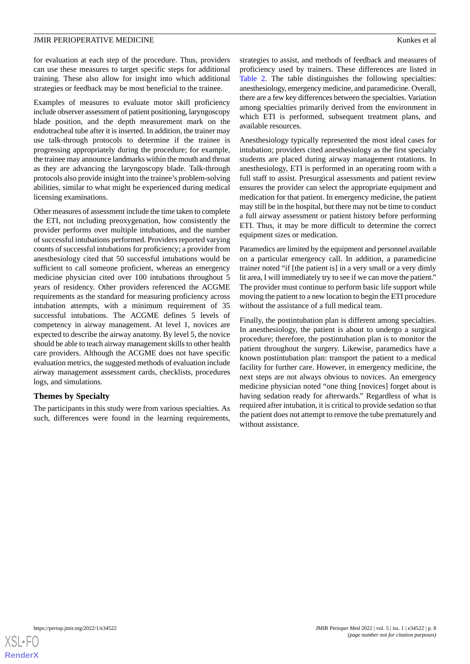for evaluation at each step of the procedure. Thus, providers can use these measures to target specific steps for additional training. These also allow for insight into which additional strategies or feedback may be most beneficial to the trainee.

Examples of measures to evaluate motor skill proficiency include observer assessment of patient positioning, laryngoscopy blade position, and the depth measurement mark on the endotracheal tube after it is inserted. In addition, the trainer may use talk-through protocols to determine if the trainee is progressing appropriately during the procedure; for example, the trainee may announce landmarks within the mouth and throat as they are advancing the laryngoscopy blade. Talk-through protocols also provide insight into the trainee's problem-solving abilities, similar to what might be experienced during medical licensing examinations.

Other measures of assessment include the time taken to complete the ETI, not including preoxygenation, how consistently the provider performs over multiple intubations, and the number of successful intubations performed. Providers reported varying counts of successful intubations for proficiency; a provider from anesthesiology cited that 50 successful intubations would be sufficient to call someone proficient, whereas an emergency medicine physician cited over 100 intubations throughout 5 years of residency. Other providers referenced the ACGME requirements as the standard for measuring proficiency across intubation attempts, with a minimum requirement of 35 successful intubations. The ACGME defines 5 levels of competency in airway management. At level 1, novices are expected to describe the airway anatomy. By level 5, the novice should be able to teach airway management skills to other health care providers. Although the ACGME does not have specific evaluation metrics, the suggested methods of evaluation include airway management assessment cards, checklists, procedures logs, and simulations.

### **Themes by Specialty**

The participants in this study were from various specialties. As such, differences were found in the learning requirements,

strategies to assist, and methods of feedback and measures of proficiency used by trainers. These differences are listed in [Table 2.](#page-8-0) The table distinguishes the following specialties: anesthesiology, emergency medicine, and paramedicine. Overall, there are a few key differences between the specialties. Variation among specialties primarily derived from the environment in which ETI is performed, subsequent treatment plans, and available resources.

Anesthesiology typically represented the most ideal cases for intubation; providers cited anesthesiology as the first specialty students are placed during airway management rotations. In anesthesiology, ETI is performed in an operating room with a full staff to assist. Presurgical assessments and patient review ensures the provider can select the appropriate equipment and medication for that patient. In emergency medicine, the patient may still be in the hospital, but there may not be time to conduct a full airway assessment or patient history before performing ETI. Thus, it may be more difficult to determine the correct equipment sizes or medication.

Paramedics are limited by the equipment and personnel available on a particular emergency call. In addition, a paramedicine trainer noted "if [the patient is] in a very small or a very dimly lit area, I will immediately try to see if we can move the patient." The provider must continue to perform basic life support while moving the patient to a new location to begin the ETI procedure without the assistance of a full medical team.

Finally, the postintubation plan is different among specialties. In anesthesiology, the patient is about to undergo a surgical procedure; therefore, the postintubation plan is to monitor the patient throughout the surgery. Likewise, paramedics have a known postintubation plan: transport the patient to a medical facility for further care. However, in emergency medicine, the next steps are not always obvious to novices. An emergency medicine physician noted "one thing [novices] forget about is having sedation ready for afterwards." Regardless of what is required after intubation, it is critical to provide sedation so that the patient does not attempt to remove the tube prematurely and without assistance.

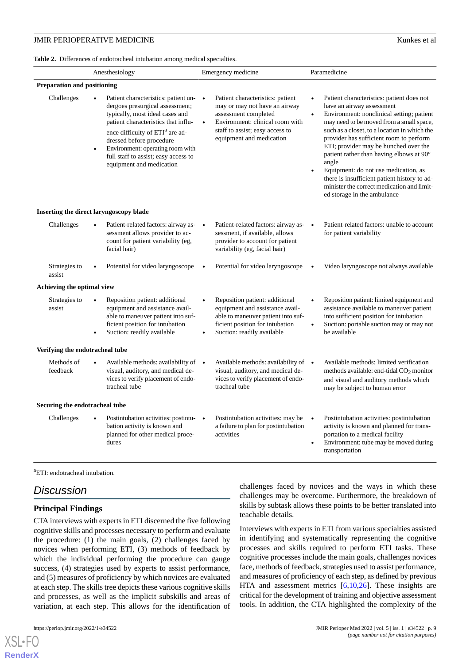<span id="page-8-0"></span>

|  |  | Table 2. Differences of endotracheal intubation among medical specialties. |  |  |  |  |
|--|--|----------------------------------------------------------------------------|--|--|--|--|
|--|--|----------------------------------------------------------------------------|--|--|--|--|

|                                    | Anesthesiology                                                                                                                                                                                                                                                                                                                                    | Emergency medicine                                                                                                                                                                                                    | Paramedicine                                                                                                                                                                                                                                                                                                                                                                                                                                                                                                                                                         |
|------------------------------------|---------------------------------------------------------------------------------------------------------------------------------------------------------------------------------------------------------------------------------------------------------------------------------------------------------------------------------------------------|-----------------------------------------------------------------------------------------------------------------------------------------------------------------------------------------------------------------------|----------------------------------------------------------------------------------------------------------------------------------------------------------------------------------------------------------------------------------------------------------------------------------------------------------------------------------------------------------------------------------------------------------------------------------------------------------------------------------------------------------------------------------------------------------------------|
| <b>Preparation and positioning</b> |                                                                                                                                                                                                                                                                                                                                                   |                                                                                                                                                                                                                       |                                                                                                                                                                                                                                                                                                                                                                                                                                                                                                                                                                      |
| Challenges                         | Patient characteristics: patient un-<br>dergoes presurgical assessment;<br>typically, most ideal cases and<br>patient characteristics that influ-<br>ence difficulty of ETI <sup>a</sup> are ad-<br>dressed before procedure<br>Environment: operating room with<br>$\bullet$<br>full staff to assist; easy access to<br>equipment and medication | Patient characteristics: patient<br>$\bullet$<br>may or may not have an airway<br>assessment completed<br>Environment: clinical room with<br>$\bullet$<br>staff to assist; easy access to<br>equipment and medication | Patient characteristics: patient does not<br>$\bullet$<br>have an airway assessment<br>Environment: nonclinical setting; patient<br>$\bullet$<br>may need to be moved from a small space,<br>such as a closet, to a location in which the<br>provider has sufficient room to perform<br>ETI; provider may be hunched over the<br>patient rather than having elbows at 90°<br>angle<br>Equipment: do not use medication, as<br>$\bullet$<br>there is insufficient patient history to ad-<br>minister the correct medication and limit-<br>ed storage in the ambulance |
|                                    | Inserting the direct laryngoscopy blade                                                                                                                                                                                                                                                                                                           |                                                                                                                                                                                                                       |                                                                                                                                                                                                                                                                                                                                                                                                                                                                                                                                                                      |
| Challenges                         | Patient-related factors: airway as-<br>sessment allows provider to ac-<br>count for patient variability (eg,<br>facial hair)                                                                                                                                                                                                                      | Patient-related factors: airway as-<br>sessment, if available, allows<br>provider to account for patient<br>variability (eg, facial hair)                                                                             | Patient-related factors: unable to account<br>$\bullet$<br>for patient variability                                                                                                                                                                                                                                                                                                                                                                                                                                                                                   |
| Strategies to<br>assist            | Potential for video laryngoscope                                                                                                                                                                                                                                                                                                                  | Potential for video laryngoscope                                                                                                                                                                                      | Video laryngoscope not always available                                                                                                                                                                                                                                                                                                                                                                                                                                                                                                                              |
| Achieving the optimal view         |                                                                                                                                                                                                                                                                                                                                                   |                                                                                                                                                                                                                       |                                                                                                                                                                                                                                                                                                                                                                                                                                                                                                                                                                      |
| Strategies to<br>assist            | Reposition patient: additional<br>equipment and assistance avail-<br>able to maneuver patient into suf-<br>ficient position for intubation<br>Suction: readily available<br>$\bullet$                                                                                                                                                             | Reposition patient: additional<br>$\bullet$<br>equipment and assistance avail-<br>able to maneuver patient into suf-<br>ficient position for intubation<br>Suction: readily available<br>$\bullet$                    | Reposition patient: limited equipment and<br>assistance available to maneuver patient<br>into sufficient position for intubation<br>Suction: portable suction may or may not<br>$\bullet$<br>be available                                                                                                                                                                                                                                                                                                                                                            |
| Verifying the endotracheal tube    |                                                                                                                                                                                                                                                                                                                                                   |                                                                                                                                                                                                                       |                                                                                                                                                                                                                                                                                                                                                                                                                                                                                                                                                                      |
| Methods of<br>feedback             | Available methods: availability of $\bullet$<br>visual, auditory, and medical de-<br>vices to verify placement of endo-<br>tracheal tube                                                                                                                                                                                                          | Available methods: availability of $\bullet$<br>visual, auditory, and medical de-<br>vices to verify placement of endo-<br>tracheal tube                                                                              | Available methods: limited verification<br>methods available: end-tidal CO <sub>2</sub> monitor<br>and visual and auditory methods which<br>may be subject to human error                                                                                                                                                                                                                                                                                                                                                                                            |
| Securing the endotracheal tube     |                                                                                                                                                                                                                                                                                                                                                   |                                                                                                                                                                                                                       |                                                                                                                                                                                                                                                                                                                                                                                                                                                                                                                                                                      |
| Challenges                         | Postintubation activities: postintu-<br>bation activity is known and<br>planned for other medical proce-<br>dures                                                                                                                                                                                                                                 | Postintubation activities: may be<br>$\bullet$<br>a failure to plan for postintubation<br>activities                                                                                                                  | Postintubation activities: postintubation<br>$\bullet$<br>activity is known and planned for trans-<br>portation to a medical facility<br>Environment: tube may be moved during<br>$\bullet$<br>transportation                                                                                                                                                                                                                                                                                                                                                        |

<sup>a</sup>ETI: endotracheal intubation.

# *Discussion*

### **Principal Findings**

CTA interviews with experts in ETI discerned the five following cognitive skills and processes necessary to perform and evaluate the procedure: (1) the main goals, (2) challenges faced by novices when performing ETI, (3) methods of feedback by which the individual performing the procedure can gauge success, (4) strategies used by experts to assist performance, and (5) measures of proficiency by which novices are evaluated at each step. The skills tree depicts these various cognitive skills and processes, as well as the implicit subskills and areas of variation, at each step. This allows for the identification of

 $XS$  • FO **[RenderX](http://www.renderx.com/)**

challenges faced by novices and the ways in which these challenges may be overcome. Furthermore, the breakdown of skills by subtask allows these points to be better translated into teachable details.

Interviews with experts in ETI from various specialties assisted in identifying and systematically representing the cognitive processes and skills required to perform ETI tasks. These cognitive processes include the main goals, challenges novices face, methods of feedback, strategies used to assist performance, and measures of proficiency of each step, as defined by previous HTA and assessment metrics [[6](#page-10-5)[,10](#page-10-2),[26\]](#page-10-18). These insights are critical for the development of training and objective assessment tools. In addition, the CTA highlighted the complexity of the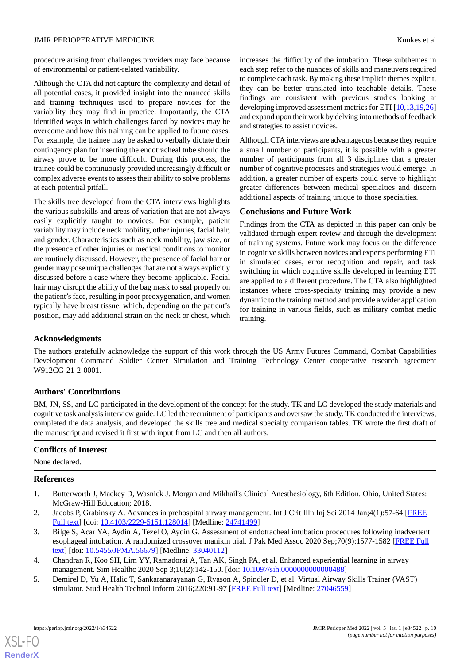procedure arising from challenges providers may face because of environmental or patient-related variability.

Although the CTA did not capture the complexity and detail of all potential cases, it provided insight into the nuanced skills and training techniques used to prepare novices for the variability they may find in practice. Importantly, the CTA identified ways in which challenges faced by novices may be overcome and how this training can be applied to future cases. For example, the trainee may be asked to verbally dictate their contingency plan for inserting the endotracheal tube should the airway prove to be more difficult. During this process, the trainee could be continuously provided increasingly difficult or complex adverse events to assess their ability to solve problems at each potential pitfall.

The skills tree developed from the CTA interviews highlights the various subskills and areas of variation that are not always easily explicitly taught to novices. For example, patient variability may include neck mobility, other injuries, facial hair, and gender. Characteristics such as neck mobility, jaw size, or the presence of other injuries or medical conditions to monitor are routinely discussed. However, the presence of facial hair or gender may pose unique challenges that are not always explicitly discussed before a case where they become applicable. Facial hair may disrupt the ability of the bag mask to seal properly on the patient's face, resulting in poor preoxygenation, and women typically have breast tissue, which, depending on the patient's position, may add additional strain on the neck or chest, which

increases the difficulty of the intubation. These subthemes in each step refer to the nuances of skills and maneuvers required to complete each task. By making these implicit themes explicit, they can be better translated into teachable details. These findings are consistent with previous studies looking at developing improved assessment metrics for ETI [[10](#page-10-2)[,13](#page-10-6),[19](#page-10-11)[,26](#page-10-18)] and expand upon their work by delving into methods of feedback and strategies to assist novices.

Although CTA interviews are advantageous because they require a small number of participants, it is possible with a greater number of participants from all 3 disciplines that a greater number of cognitive processes and strategies would emerge. In addition, a greater number of experts could serve to highlight greater differences between medical specialties and discern additional aspects of training unique to those specialties.

### **Conclusions and Future Work**

Findings from the CTA as depicted in this paper can only be validated through expert review and through the development of training systems. Future work may focus on the difference in cognitive skills between novices and experts performing ETI in simulated cases, error recognition and repair, and task switching in which cognitive skills developed in learning ETI are applied to a different procedure. The CTA also highlighted instances where cross-specialty training may provide a new dynamic to the training method and provide a wider application for training in various fields, such as military combat medic training.

### **Acknowledgments**

The authors gratefully acknowledge the support of this work through the US Army Futures Command, Combat Capabilities Development Command Soldier Center Simulation and Training Technology Center cooperative research agreement W912CG-21-2-0001.

# **Authors' Contributions**

BM, JN, SS, and LC participated in the development of the concept for the study. TK and LC developed the study materials and cognitive task analysis interview guide. LC led the recruitment of participants and oversaw the study. TK conducted the interviews, completed the data analysis, and developed the skills tree and medical specialty comparison tables. TK wrote the first draft of the manuscript and revised it first with input from LC and then all authors.

# <span id="page-9-0"></span>**Conflicts of Interest**

<span id="page-9-3"></span>None declared.

### **References**

- 1. Butterworth J, Mackey D, Wasnick J. Morgan and Mikhail's Clinical Anesthesiology, 6th Edition. Ohio, United States: McGraw-Hill Education; 2018.
- <span id="page-9-2"></span><span id="page-9-1"></span>2. Jacobs P, Grabinsky A. Advances in prehospital airway management. Int J Crit Illn Inj Sci 2014 Jan;4(1):57-64 [\[FREE](http://www.ijciis.org/article.asp?issn=2229-5151;year=2014;volume=4;issue=1;spage=57;epage=64;aulast=Jacobs) [Full text\]](http://www.ijciis.org/article.asp?issn=2229-5151;year=2014;volume=4;issue=1;spage=57;epage=64;aulast=Jacobs) [doi: [10.4103/2229-5151.128014](http://dx.doi.org/10.4103/2229-5151.128014)] [Medline: [24741499](http://www.ncbi.nlm.nih.gov/entrez/query.fcgi?cmd=Retrieve&db=PubMed&list_uids=24741499&dopt=Abstract)]
- 3. Bilge S, Acar YA, Aydin A, Tezel O, Aydin G. Assessment of endotracheal intubation procedures following inadvertent esophageal intubation. A randomized crossover manikin trial. J Pak Med Assoc 2020 Sep;70(9):1577-1582 [[FREE Full](http://jpma.org.pk/full_article-text.php?article_id=10110) [text](http://jpma.org.pk/full_article-text.php?article_id=10110)] [doi: [10.5455/JPMA.56679\]](http://dx.doi.org/10.5455/JPMA.56679) [Medline: [33040112\]](http://www.ncbi.nlm.nih.gov/entrez/query.fcgi?cmd=Retrieve&db=PubMed&list_uids=33040112&dopt=Abstract)
- 4. Chandran R, Koo SH, Lim YY, Ramadorai A, Tan AK, Singh PA, et al. Enhanced experiential learning in airway management. Sim Healthc 2020 Sep 3;16(2):142-150. [doi: 10.1097/sih.00000000000000488]
- 5. Demirel D, Yu A, Halic T, Sankaranarayanan G, Ryason A, Spindler D, et al. Virtual Airway Skills Trainer (VAST) simulator. Stud Health Technol Inform 2016;220:91-97 [\[FREE Full text\]](http://europepmc.org/abstract/MED/27046559) [Medline: [27046559\]](http://www.ncbi.nlm.nih.gov/entrez/query.fcgi?cmd=Retrieve&db=PubMed&list_uids=27046559&dopt=Abstract)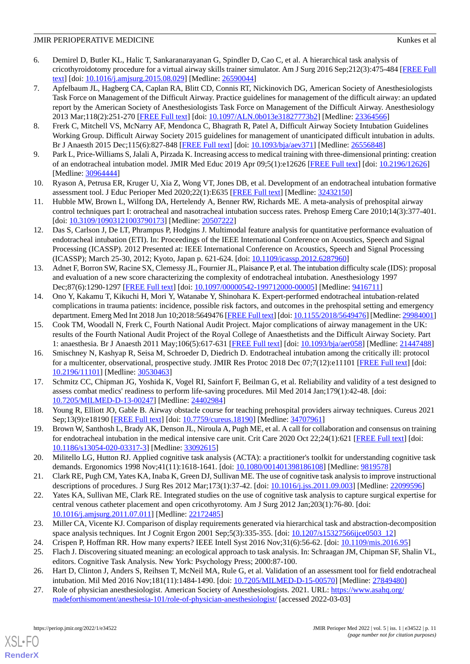- <span id="page-10-5"></span>6. Demirel D, Butler KL, Halic T, Sankaranarayanan G, Spindler D, Cao C, et al. A hierarchical task analysis of cricothyroidotomy procedure for a virtual airway skills trainer simulator. Am J Surg 2016 Sep;212(3):475-484 [[FREE Full](http://europepmc.org/abstract/MED/26590044) [text](http://europepmc.org/abstract/MED/26590044)] [doi: [10.1016/j.amjsurg.2015.08.029\]](http://dx.doi.org/10.1016/j.amjsurg.2015.08.029) [Medline: [26590044\]](http://www.ncbi.nlm.nih.gov/entrez/query.fcgi?cmd=Retrieve&db=PubMed&list_uids=26590044&dopt=Abstract)
- <span id="page-10-1"></span>7. Apfelbaum JL, Hagberg CA, Caplan RA, Blitt CD, Connis RT, Nickinovich DG, American Society of Anesthesiologists Task Force on Management of the Difficult Airway. Practice guidelines for management of the difficult airway: an updated report by the American Society of Anesthesiologists Task Force on Management of the Difficult Airway. Anesthesiology 2013 Mar;118(2):251-270 [\[FREE Full text\]](https://pubs.asahq.org/anesthesiology/article-lookup/doi/10.1097/ALN.0b013e31827773b2) [doi: [10.1097/ALN.0b013e31827773b2](http://dx.doi.org/10.1097/ALN.0b013e31827773b2)] [Medline: [23364566](http://www.ncbi.nlm.nih.gov/entrez/query.fcgi?cmd=Retrieve&db=PubMed&list_uids=23364566&dopt=Abstract)]
- <span id="page-10-0"></span>8. Frerk C, Mitchell VS, McNarry AF, Mendonca C, Bhagrath R, Patel A, Difficult Airway Society Intubation Guidelines Working Group. Difficult Airway Society 2015 guidelines for management of unanticipated difficult intubation in adults. Br J Anaesth 2015 Dec;115(6):827-848 [[FREE Full text](https://linkinghub.elsevier.com/retrieve/pii/S0007-0912(17)31431-9)] [doi: [10.1093/bja/aev371](http://dx.doi.org/10.1093/bja/aev371)] [Medline: [26556848\]](http://www.ncbi.nlm.nih.gov/entrez/query.fcgi?cmd=Retrieve&db=PubMed&list_uids=26556848&dopt=Abstract)
- <span id="page-10-2"></span>9. Park L, Price-Williams S, Jalali A, Pirzada K. Increasing access to medical training with three-dimensional printing: creation of an endotracheal intubation model. JMIR Med Educ 2019 Apr 09;5(1):e12626 [\[FREE Full text\]](https://mededu.jmir.org/2019/1/e12626/) [doi: [10.2196/12626](http://dx.doi.org/10.2196/12626)] [Medline: [30964444](http://www.ncbi.nlm.nih.gov/entrez/query.fcgi?cmd=Retrieve&db=PubMed&list_uids=30964444&dopt=Abstract)]
- <span id="page-10-3"></span>10. Ryason A, Petrusa ER, Kruger U, Xia Z, Wong VT, Jones DB, et al. Development of an endotracheal intubation formative assessment tool. J Educ Perioper Med 2020;22(1):E635 [[FREE Full text](http://europepmc.org/abstract/MED/32432150)] [Medline: [32432150](http://www.ncbi.nlm.nih.gov/entrez/query.fcgi?cmd=Retrieve&db=PubMed&list_uids=32432150&dopt=Abstract)]
- <span id="page-10-4"></span>11. Hubble MW, Brown L, Wilfong DA, Hertelendy A, Benner RW, Richards ME. A meta-analysis of prehospital airway control techniques part I: orotracheal and nasotracheal intubation success rates. Prehosp Emerg Care 2010;14(3):377-401. [doi: [10.3109/10903121003790173](http://dx.doi.org/10.3109/10903121003790173)] [Medline: [20507222\]](http://www.ncbi.nlm.nih.gov/entrez/query.fcgi?cmd=Retrieve&db=PubMed&list_uids=20507222&dopt=Abstract)
- <span id="page-10-6"></span>12. Das S, Carlson J, De LT, Phrampus P, Hodgins J. Multimodal feature analysis for quantitative performance evaluation of endotracheal intubation (ETI). In: Proceedings of the IEEE International Conference on Acoustics, Speech and Signal Processing (ICASSP). 2012 Presented at: IEEE International Conference on Acoustics, Speech and Signal Processing (ICASSP); March 25-30, 2012; Kyoto, Japan p. 621-624. [doi: [10.1109/icassp.2012.6287960](http://dx.doi.org/10.1109/icassp.2012.6287960)]
- <span id="page-10-7"></span>13. Adnet F, Borron SW, Racine SX, Clemessy JL, Fournier JL, Plaisance P, et al. The intubation difficulty scale (IDS): proposal and evaluation of a new score characterizing the complexity of endotracheal intubation. Anesthesiology 1997 Dec;87(6):1290-1297 [\[FREE Full text](https://pubs.asahq.org/anesthesiology/article-lookup/doi/10.1097/00000542-199712000-00005)] [doi: [10.1097/00000542-199712000-00005\]](http://dx.doi.org/10.1097/00000542-199712000-00005) [Medline: [9416711](http://www.ncbi.nlm.nih.gov/entrez/query.fcgi?cmd=Retrieve&db=PubMed&list_uids=9416711&dopt=Abstract)]
- 14. Ono Y, Kakamu T, Kikuchi H, Mori Y, Watanabe Y, Shinohara K. Expert-performed endotracheal intubation-related complications in trauma patients: incidence, possible risk factors, and outcomes in the prehospital setting and emergency department. Emerg Med Int 2018 Jun 10;2018:5649476 [\[FREE Full text\]](https://doi.org/10.1155/2018/5649476) [doi: [10.1155/2018/5649476](http://dx.doi.org/10.1155/2018/5649476)] [Medline: [29984001\]](http://www.ncbi.nlm.nih.gov/entrez/query.fcgi?cmd=Retrieve&db=PubMed&list_uids=29984001&dopt=Abstract)
- <span id="page-10-8"></span>15. Cook TM, Woodall N, Frerk C, Fourth National Audit Project. Major complications of airway management in the UK: results of the Fourth National Audit Project of the Royal College of Anaesthetists and the Difficult Airway Society. Part 1: anaesthesia. Br J Anaesth 2011 May;106(5):617-631 [[FREE Full text](https://linkinghub.elsevier.com/retrieve/pii/S0007-0912(17)33209-9)] [doi: [10.1093/bja/aer058\]](http://dx.doi.org/10.1093/bja/aer058) [Medline: [21447488\]](http://www.ncbi.nlm.nih.gov/entrez/query.fcgi?cmd=Retrieve&db=PubMed&list_uids=21447488&dopt=Abstract)
- <span id="page-10-9"></span>16. Smischney N, Kashyap R, Seisa M, Schroeder D, Diedrich D. Endotracheal intubation among the critically ill: protocol for a multicenter, observational, prospective study. JMIR Res Protoc 2018 Dec 07;7(12):e11101 [[FREE Full text](https://www.researchprotocols.org/2018/12/e11101/)] [doi: [10.2196/11101\]](http://dx.doi.org/10.2196/11101) [Medline: [30530463\]](http://www.ncbi.nlm.nih.gov/entrez/query.fcgi?cmd=Retrieve&db=PubMed&list_uids=30530463&dopt=Abstract)
- <span id="page-10-11"></span><span id="page-10-10"></span>17. Schmitz CC, Chipman JG, Yoshida K, Vogel RI, Sainfort F, Beilman G, et al. Reliability and validity of a test designed to assess combat medics' readiness to perform life-saving procedures. Mil Med 2014 Jan;179(1):42-48. [doi: [10.7205/MILMED-D-13-00247\]](http://dx.doi.org/10.7205/MILMED-D-13-00247) [Medline: [24402984](http://www.ncbi.nlm.nih.gov/entrez/query.fcgi?cmd=Retrieve&db=PubMed&list_uids=24402984&dopt=Abstract)]
- <span id="page-10-12"></span>18. Young R, Elliott JO, Gable B. Airway obstacle course for teaching prehospital providers airway techniques. Cureus 2021 Sep;13(9):e18190 [\[FREE Full text](http://europepmc.org/abstract/MED/34707961)] [doi: [10.7759/cureus.18190](http://dx.doi.org/10.7759/cureus.18190)] [Medline: [34707961](http://www.ncbi.nlm.nih.gov/entrez/query.fcgi?cmd=Retrieve&db=PubMed&list_uids=34707961&dopt=Abstract)]
- <span id="page-10-13"></span>19. Brown W, Santhosh L, Brady AK, Denson JL, Niroula A, Pugh ME, et al. A call for collaboration and consensus on training for endotracheal intubation in the medical intensive care unit. Crit Care 2020 Oct 22;24(1):621 [\[FREE Full text\]](https://ccforum.biomedcentral.com/articles/10.1186/s13054-020-03317-3) [doi: [10.1186/s13054-020-03317-3\]](http://dx.doi.org/10.1186/s13054-020-03317-3) [Medline: [33092615\]](http://www.ncbi.nlm.nih.gov/entrez/query.fcgi?cmd=Retrieve&db=PubMed&list_uids=33092615&dopt=Abstract)
- <span id="page-10-14"></span>20. Militello LG, Hutton RJ. Applied cognitive task analysis (ACTA): a practitioner's toolkit for understanding cognitive task demands. Ergonomics 1998 Nov;41(11):1618-1641. [doi: [10.1080/001401398186108\]](http://dx.doi.org/10.1080/001401398186108) [Medline: [9819578](http://www.ncbi.nlm.nih.gov/entrez/query.fcgi?cmd=Retrieve&db=PubMed&list_uids=9819578&dopt=Abstract)]
- <span id="page-10-15"></span>21. Clark RE, Pugh CM, Yates KA, Inaba K, Green DJ, Sullivan ME. The use of cognitive task analysis to improve instructional descriptions of procedures. J Surg Res 2012 Mar;173(1):37-42. [doi: [10.1016/j.jss.2011.09.003\]](http://dx.doi.org/10.1016/j.jss.2011.09.003) [Medline: [22099596\]](http://www.ncbi.nlm.nih.gov/entrez/query.fcgi?cmd=Retrieve&db=PubMed&list_uids=22099596&dopt=Abstract)
- <span id="page-10-17"></span><span id="page-10-16"></span>22. Yates KA, Sullivan ME, Clark RE. Integrated studies on the use of cognitive task analysis to capture surgical expertise for central venous catheter placement and open cricothyrotomy. Am J Surg 2012 Jan;203(1):76-80. [doi: [10.1016/j.amjsurg.2011.07.011\]](http://dx.doi.org/10.1016/j.amjsurg.2011.07.011) [Medline: [22172485](http://www.ncbi.nlm.nih.gov/entrez/query.fcgi?cmd=Retrieve&db=PubMed&list_uids=22172485&dopt=Abstract)]
- <span id="page-10-19"></span><span id="page-10-18"></span>23. Miller CA, Vicente KJ. Comparison of display requirements generated via hierarchical task and abstraction-decomposition space analysis techniques. Int J Cognit Ergon 2001 Sep;5(3):335-355. [doi: [10.1207/s15327566ijce0503\\_12](http://dx.doi.org/10.1207/s15327566ijce0503_12)]
- 24. Crispen P, Hoffman RR. How many experts? IEEE Intell Syst 2016 Nov;31(6):56-62. [doi: [10.1109/mis.2016.95\]](http://dx.doi.org/10.1109/mis.2016.95)
- 25. Flach J. Discovering situated meaning: an ecological approach to task analysis. In: Schraagan JM, Chipman SF, Shalin VL, editors. Cognitive Task Analysis. New York: Psychology Press; 2000:87-100.
- 26. Hart D, Clinton J, Anders S, Reihsen T, McNeil MA, Rule G, et al. Validation of an assessment tool for field endotracheal intubation. Mil Med 2016 Nov;181(11):1484-1490. [doi: [10.7205/MILMED-D-15-00570](http://dx.doi.org/10.7205/MILMED-D-15-00570)] [Medline: [27849480](http://www.ncbi.nlm.nih.gov/entrez/query.fcgi?cmd=Retrieve&db=PubMed&list_uids=27849480&dopt=Abstract)]
- 27. Role of physician anesthesiologist. American Society of Anesthesiologists. 2021. URL: [https://www.asahq.org/](https://www.asahq.org/madeforthismoment/anesthesia-101/role-of-physician-anesthesiologist/) [madeforthismoment/anesthesia-101/role-of-physician-anesthesiologist/](https://www.asahq.org/madeforthismoment/anesthesia-101/role-of-physician-anesthesiologist/) [accessed 2022-03-03]